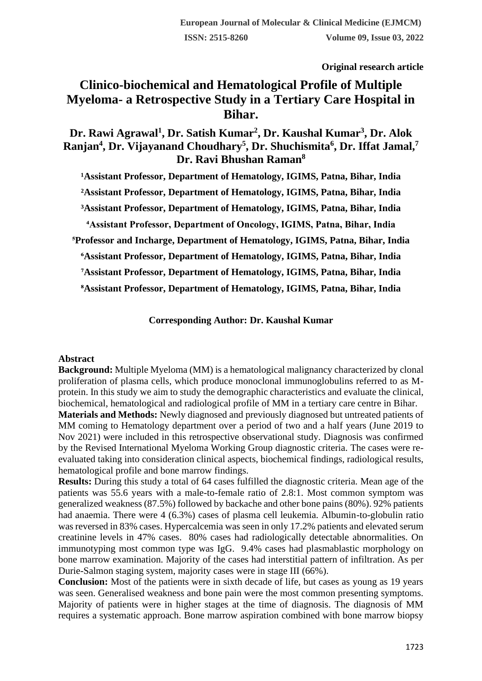**Original research article** 

# **Clinico-biochemical and Hematological Profile of Multiple Myeloma- a Retrospective Study in a Tertiary Care Hospital in Bihar.**

## **Dr. Rawi Agrawal<sup>1</sup> , Dr. Satish Kumar<sup>2</sup> , Dr. Kaushal Kumar<sup>3</sup> , Dr. Alok Ranjan<sup>4</sup> , Dr. Vijayanand Choudhary<sup>5</sup> , Dr. Shuchismita<sup>6</sup> , Dr. Iffat Jamal,<sup>7</sup> Dr. Ravi Bhushan Raman<sup>8</sup>**

<sup>1</sup>Assistant Professor, Department of Hematology, IGIMS, Patna, Bihar, India **²Assistant Professor, Department of Hematology, IGIMS, Patna, Bihar, India ³Assistant Professor, Department of Hematology, IGIMS, Patna, Bihar, India ⁴Assistant Professor, Department of Oncology, IGIMS, Patna, Bihar, India ⁵Professor and Incharge, Department of Hematology, IGIMS, Patna, Bihar, India ⁶Assistant Professor, Department of Hematology, IGIMS, Patna, Bihar, India ⁷Assistant Professor, Department of Hematology, IGIMS, Patna, Bihar, India ⁸Assistant Professor, Department of Hematology, IGIMS, Patna, Bihar, India**

**Corresponding Author: Dr. Kaushal Kumar**

#### **Abstract**

**Background:** Multiple Myeloma (MM) is a hematological malignancy characterized by clonal proliferation of plasma cells, which produce monoclonal immunoglobulins referred to as Mprotein. In this study we aim to study the demographic characteristics and evaluate the clinical, biochemical, hematological and radiological profile of MM in a tertiary care centre in Bihar.

**Materials and Methods:** Newly diagnosed and previously diagnosed but untreated patients of MM coming to Hematology department over a period of two and a half years (June 2019 to Nov 2021) were included in this retrospective observational study. Diagnosis was confirmed by the Revised International Myeloma Working Group diagnostic criteria. The cases were reevaluated taking into consideration clinical aspects, biochemical findings, radiological results, hematological profile and bone marrow findings.

**Results:** During this study a total of 64 cases fulfilled the diagnostic criteria. Mean age of the patients was 55.6 years with a male-to-female ratio of 2.8:1. Most common symptom was generalized weakness (87.5%) followed by backache and other bone pains (80%). 92% patients had anaemia. There were 4 (6.3%) cases of plasma cell leukemia. Albumin-to-globulin ratio was reversed in 83% cases. Hypercalcemia was seen in only 17.2% patients and elevated serum creatinine levels in 47% cases. 80% cases had radiologically detectable abnormalities. On immunotyping most common type was IgG. 9.4% cases had plasmablastic morphology on bone marrow examination. Majority of the cases had interstitial pattern of infiltration. As per Durie-Salmon staging system, majority cases were in stage III (66%).

**Conclusion:** Most of the patients were in sixth decade of life, but cases as young as 19 years was seen. Generalised weakness and bone pain were the most common presenting symptoms. Majority of patients were in higher stages at the time of diagnosis. The diagnosis of MM requires a systematic approach. Bone marrow aspiration combined with bone marrow biopsy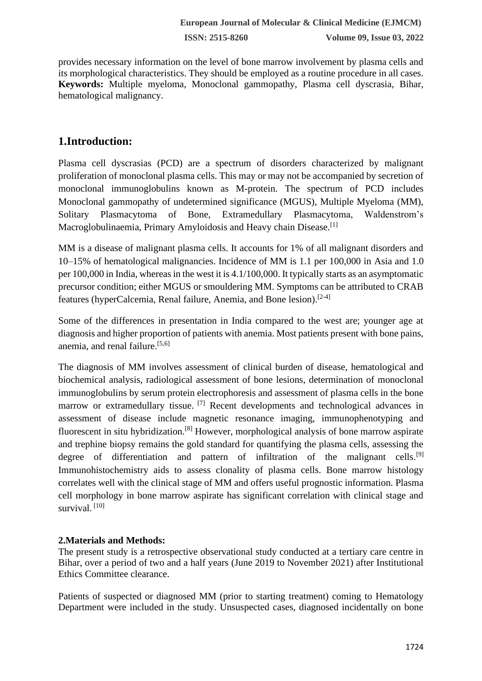provides necessary information on the level of bone marrow involvement by plasma cells and its morphological characteristics. They should be employed as a routine procedure in all cases. **Keywords:** Multiple myeloma, Monoclonal gammopathy, Plasma cell dyscrasia, Bihar, hematological malignancy.

# **1.Introduction:**

Plasma cell dyscrasias (PCD) are a spectrum of disorders characterized by malignant proliferation of monoclonal plasma cells. This may or may not be accompanied by secretion of monoclonal immunoglobulins known as M-protein. The spectrum of PCD includes Monoclonal gammopathy of undetermined significance (MGUS), Multiple Myeloma (MM), Solitary Plasmacytoma of Bone, Extramedullary Plasmacytoma, Waldenstrom's Macroglobulinaemia, Primary Amyloidosis and Heavy chain Disease.<sup>[1]</sup>

MM is a disease of malignant plasma cells. It accounts for 1% of all malignant disorders and 10–15% of hematological malignancies. Incidence of MM is 1.1 per 100,000 in Asia and 1.0 per 100,000 in India, whereas in the west it is 4.1/100,000. It typically starts as an asymptomatic precursor condition; either MGUS or smouldering MM. Symptoms can be attributed to CRAB features (hyperCalcemia, Renal failure, Anemia, and Bone lesion).[2-4]

Some of the differences in presentation in India compared to the west are; younger age at diagnosis and higher proportion of patients with anemia. Most patients present with bone pains, anemia, and renal failure.[5,6]

The diagnosis of MM involves assessment of clinical burden of disease, hematological and biochemical analysis, radiological assessment of bone lesions, determination of monoclonal immunoglobulins by serum protein electrophoresis and assessment of plasma cells in the bone marrow or extramedullary tissue. <sup>[7]</sup> Recent developments and technological advances in assessment of disease include magnetic resonance imaging, immunophenotyping and fluorescent in situ hybridization.[8] However, morphological analysis of bone marrow aspirate and trephine biopsy remains the gold standard for quantifying the plasma cells, assessing the degree of differentiation and pattern of infiltration of the malignant cells.<sup>[9]</sup> Immunohistochemistry aids to assess clonality of plasma cells. Bone marrow histology correlates well with the clinical stage of MM and offers useful prognostic information. Plasma cell morphology in bone marrow aspirate has significant correlation with clinical stage and survival.<sup>[10]</sup>

### **2.Materials and Methods:**

The present study is a retrospective observational study conducted at a tertiary care centre in Bihar, over a period of two and a half years (June 2019 to November 2021) after Institutional Ethics Committee clearance.

Patients of suspected or diagnosed MM (prior to starting treatment) coming to Hematology Department were included in the study. Unsuspected cases, diagnosed incidentally on bone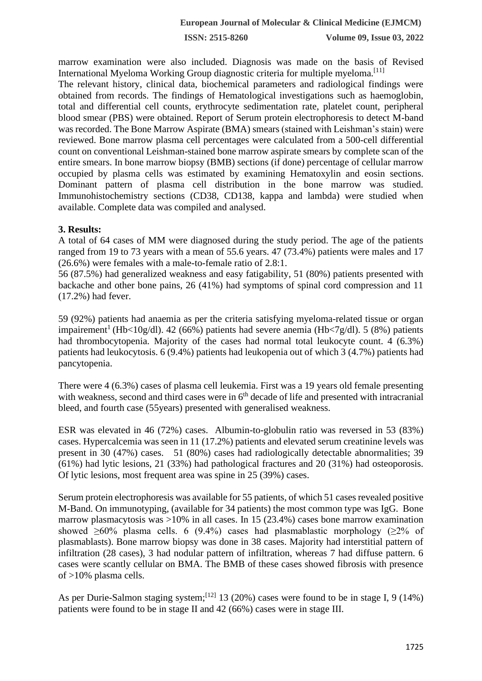**ISSN: 2515-8260 Volume 09, Issue 03, 2022**

marrow examination were also included. Diagnosis was made on the basis of Revised International Myeloma Working Group diagnostic criteria for multiple myeloma.[11]

The relevant history, clinical data, biochemical parameters and radiological findings were obtained from records. The findings of Hematological investigations such as haemoglobin, total and differential cell counts, erythrocyte sedimentation rate, platelet count, peripheral blood smear (PBS) were obtained. Report of Serum protein electrophoresis to detect M-band was recorded. The Bone Marrow Aspirate (BMA) smears (stained with Leishman's stain) were reviewed. Bone marrow plasma cell percentages were calculated from a 500-cell differential count on conventional Leishman-stained bone marrow aspirate smears by complete scan of the entire smears. In bone marrow biopsy (BMB) sections (if done) percentage of cellular marrow occupied by plasma cells was estimated by examining Hematoxylin and eosin sections. Dominant pattern of plasma cell distribution in the bone marrow was studied. Immunohistochemistry sections (CD38, CD138, kappa and lambda) were studied when available. Complete data was compiled and analysed.

#### **3. Results:**

A total of 64 cases of MM were diagnosed during the study period. The age of the patients ranged from 19 to 73 years with a mean of 55.6 years. 47 (73.4%) patients were males and 17 (26.6%) were females with a male-to-female ratio of 2.8:1.

56 (87.5%) had generalized weakness and easy fatigability, 51 (80%) patients presented with backache and other bone pains, 26 (41%) had symptoms of spinal cord compression and 11 (17.2%) had fever.

59 (92%) patients had anaemia as per the criteria satisfying myeloma-related tissue or organ impairement<sup>1</sup> (Hb<10g/dl). 42 (66%) patients had severe anemia (Hb<7g/dl). 5 (8%) patients had thrombocytopenia. Majority of the cases had normal total leukocyte count. 4 (6.3%) patients had leukocytosis. 6 (9.4%) patients had leukopenia out of which 3 (4.7%) patients had pancytopenia.

There were 4 (6.3%) cases of plasma cell leukemia. First was a 19 years old female presenting with weakness, second and third cases were in  $6<sup>th</sup>$  decade of life and presented with intracranial bleed, and fourth case (55years) presented with generalised weakness.

ESR was elevated in 46 (72%) cases. Albumin-to-globulin ratio was reversed in 53 (83%) cases. Hypercalcemia was seen in 11 (17.2%) patients and elevated serum creatinine levels was present in 30 (47%) cases. 51 (80%) cases had radiologically detectable abnormalities; 39 (61%) had lytic lesions, 21 (33%) had pathological fractures and 20 (31%) had osteoporosis. Of lytic lesions, most frequent area was spine in 25 (39%) cases.

Serum protein electrophoresis was available for 55 patients, of which 51 cases revealed positive M-Band. On immunotyping, (available for 34 patients) the most common type was IgG. Bone marrow plasmacytosis was  $>10\%$  in all cases. In 15 (23.4%) cases bone marrow examination showed  $\geq 60\%$  plasma cells. 6 (9.4%) cases had plasmablastic morphology ( $\geq 2\%$  of plasmablasts). Bone marrow biopsy was done in 38 cases. Majority had interstitial pattern of infiltration (28 cases), 3 had nodular pattern of infiltration, whereas 7 had diffuse pattern. 6 cases were scantly cellular on BMA. The BMB of these cases showed fibrosis with presence of >10% plasma cells.

As per Durie-Salmon staging system;<sup>[12]</sup> 13 (20%) cases were found to be in stage I, 9 (14%) patients were found to be in stage II and 42 (66%) cases were in stage III.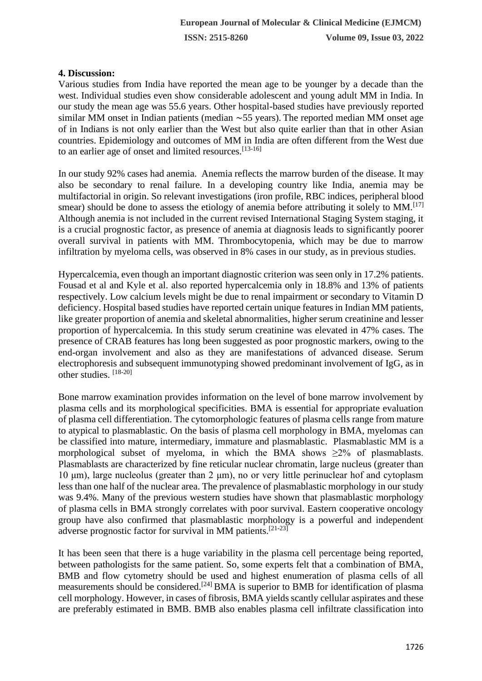#### **4. Discussion:**

Various studies from India have reported the mean age to be younger by a decade than the west. Individual studies even show considerable adolescent and young adult MM in India. In our study the mean age was 55.6 years. Other hospital-based studies have previously reported similar MM onset in Indian patients (median ∼55 years). The reported median MM onset age of in Indians is not only earlier than the West but also quite earlier than that in other Asian countries. Epidemiology and outcomes of MM in India are often different from the West due to an earlier age of onset and limited resources.<sup>[13-16]</sup>

In our study 92% cases had anemia. Anemia reflects the marrow burden of the disease. It may also be secondary to renal failure. In a developing country like India, anemia may be multifactorial in origin. So relevant investigations (iron profile, RBC indices, peripheral blood smear) should be done to assess the etiology of anemia before attributing it solely to  $MM$ <sup>[17]</sup> Although anemia is not included in the current revised International Staging System staging, it is a crucial prognostic factor, as presence of anemia at diagnosis leads to significantly poorer overall survival in patients with MM. Thrombocytopenia, which may be due to marrow infiltration by myeloma cells, was observed in 8% cases in our study, as in previous studies.

Hypercalcemia, even though an important diagnostic criterion was seen only in 17.2% patients. Fousad et al and Kyle et al. also reported hypercalcemia only in 18.8% and 13% of patients respectively. Low calcium levels might be due to renal impairment or secondary to Vitamin D deficiency. Hospital based studies have reported certain unique features in Indian MM patients, like greater proportion of anemia and skeletal abnormalities, higher serum creatinine and lesser proportion of hypercalcemia. In this study serum creatinine was elevated in 47% cases. The presence of CRAB features has long been suggested as poor prognostic markers, owing to the end-organ involvement and also as they are manifestations of advanced disease. Serum electrophoresis and subsequent immunotyping showed predominant involvement of IgG, as in other studies. [18-20]

Bone marrow examination provides information on the level of bone marrow involvement by plasma cells and its morphological specificities. BMA is essential for appropriate evaluation of plasma cell differentiation. The cytomorphologic features of plasma cells range from mature to atypical to plasmablastic. On the basis of plasma cell morphology in BMA, myelomas can be classified into mature, intermediary, immature and plasmablastic. Plasmablastic MM is a morphological subset of myeloma, in which the BMA shows  $\geq 2\%$  of plasmablasts. Plasmablasts are characterized by fine reticular nuclear chromatin, large nucleus (greater than 10 μm), large nucleolus (greater than 2 μm), no or very little perinuclear hof and cytoplasm less than one half of the nuclear area. The prevalence of plasmablastic morphology in our study was 9.4%. Many of the previous western studies have shown that plasmablastic morphology of plasma cells in BMA strongly correlates with poor survival. Eastern cooperative oncology group have also confirmed that plasmablastic morphology is a powerful and independent adverse prognostic factor for survival in MM patients.<sup>[21-23]</sup>

It has been seen that there is a huge variability in the plasma cell percentage being reported, between pathologists for the same patient. So, some experts felt that a combination of BMA, BMB and flow cytometry should be used and highest enumeration of plasma cells of all measurements should be considered.[24] BMA is superior to BMB for identification of plasma cell morphology. However, in cases of fibrosis, BMA yields scantly cellular aspirates and these are preferably estimated in BMB. BMB also enables plasma cell infiltrate classification into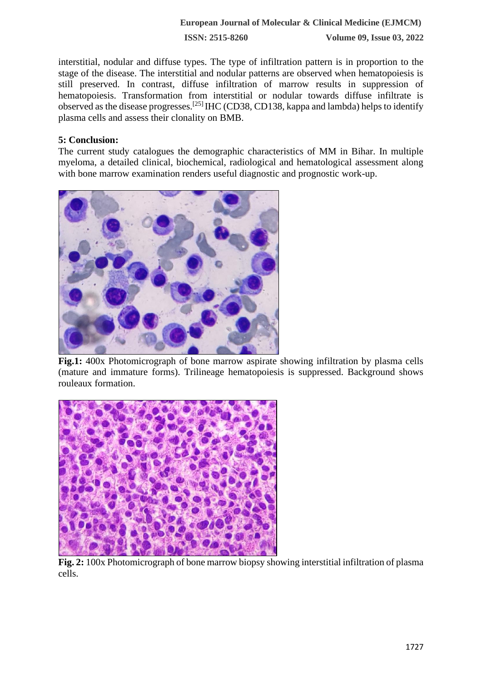#### **European Journal of Molecular & Clinical Medicine (EJMCM)**

**ISSN: 2515-8260 Volume 09, Issue 03, 2022**

interstitial, nodular and diffuse types. The type of infiltration pattern is in proportion to the stage of the disease. The interstitial and nodular patterns are observed when hematopoiesis is still preserved. In contrast, diffuse infiltration of marrow results in suppression of hematopoiesis. Transformation from interstitial or nodular towards diffuse infiltrate is observed as the disease progresses.[25] IHC (CD38, CD138, kappa and lambda) helps to identify plasma cells and assess their clonality on BMB.

#### **5: Conclusion:**

The current study catalogues the demographic characteristics of MM in Bihar. In multiple myeloma, a detailed clinical, biochemical, radiological and hematological assessment along with bone marrow examination renders useful diagnostic and prognostic work-up.



**Fig.1:** 400x Photomicrograph of bone marrow aspirate showing infiltration by plasma cells (mature and immature forms). Trilineage hematopoiesis is suppressed. Background shows rouleaux formation.



**Fig. 2:** 100x Photomicrograph of bone marrow biopsy showing interstitial infiltration of plasma cells.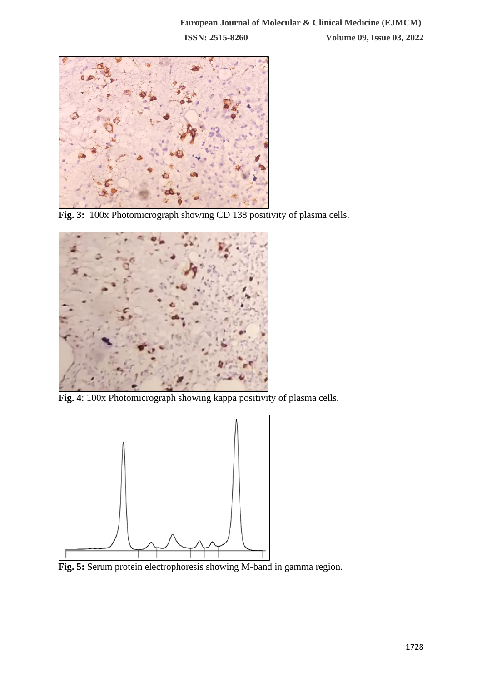

**Fig. 3:** 100x Photomicrograph showing CD 138 positivity of plasma cells.



**Fig. 4**: 100x Photomicrograph showing kappa positivity of plasma cells.



**Fig. 5:** Serum protein electrophoresis showing M-band in gamma region.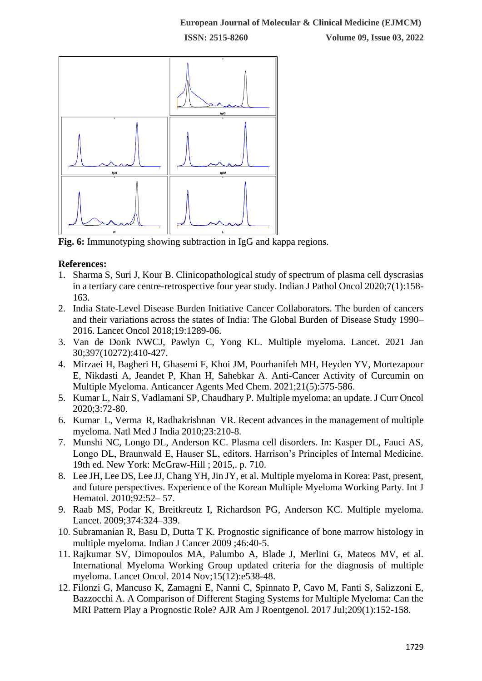

**Fig. 6:** Immunotyping showing subtraction in IgG and kappa regions.

### **References:**

- 1. Sharma S, Suri J, Kour B. Clinicopathological study of spectrum of plasma cell dyscrasias in a tertiary care centre-retrospective four year study. Indian J Pathol Oncol 2020;7(1):158- 163.
- 2. India State-Level Disease Burden Initiative Cancer Collaborators. The burden of cancers and their variations across the states of India: The Global Burden of Disease Study 1990– 2016. Lancet Oncol 2018;19:1289-06.
- 3. Van de Donk NWCJ, Pawlyn C, Yong KL. Multiple myeloma. Lancet. 2021 Jan 30;397(10272):410-427.
- 4. Mirzaei H, Bagheri H, Ghasemi F, Khoi JM, Pourhanifeh MH, Heyden YV, Mortezapour E, Nikdasti A, Jeandet P, Khan H, Sahebkar A. Anti-Cancer Activity of Curcumin on Multiple Myeloma. Anticancer Agents Med Chem. 2021;21(5):575-586.
- 5. Kumar L, Nair S, Vadlamani SP, Chaudhary P. Multiple myeloma: an update. J Curr Oncol 2020;3:72-80.
- 6. Kumar L, Verma R, Radhakrishnan VR. Recent advances in the management of multiple myeloma. Natl Med J India 2010;23:210-8.
- 7. Munshi NC, Longo DL, Anderson KC. Plasma cell disorders. In: Kasper DL, Fauci AS, Longo DL, Braunwald E, Hauser SL, editors. Harrison's Principles of Internal Medicine. 19th ed. New York: McGraw-Hill ; 2015,. p. 710.
- 8. Lee JH, Lee DS, Lee JJ, Chang YH, Jin JY, et al. Multiple myeloma in Korea: Past, present, and future perspectives. Experience of the Korean Multiple Myeloma Working Party. Int J Hematol. 2010;92:52– 57.
- 9. Raab MS, Podar K, Breitkreutz I, Richardson PG, Anderson KC. Multiple myeloma. Lancet. 2009;374:324–339.
- 10. Subramanian R, Basu D, Dutta T K. Prognostic significance of bone marrow histology in multiple myeloma. Indian J Cancer 2009 ;46:40-5.
- 11. Rajkumar SV, Dimopoulos MA, Palumbo A, Blade J, Merlini G, Mateos MV, et al. International Myeloma Working Group updated criteria for the diagnosis of multiple myeloma. Lancet Oncol. 2014 Nov;15(12):e538-48.
- 12. Filonzi G, Mancuso K, Zamagni E, Nanni C, Spinnato P, Cavo M, Fanti S, Salizzoni E, Bazzocchi A. A Comparison of Different Staging Systems for Multiple Myeloma: Can the MRI Pattern Play a Prognostic Role? AJR Am J Roentgenol. 2017 Jul;209(1):152-158.